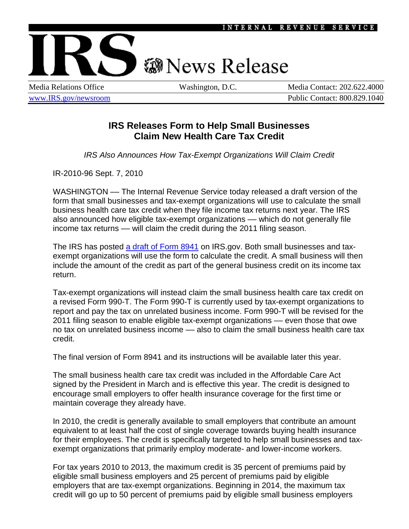

## **@News Release**

Media Relations Office Washington, D.C. Media Contact: 202.622.4000 [www.IRS.gov/newsroom](http://www.irs.gov/newsroom/index.html) Public Contact: 800.829.1040

## **IRS Releases Form to Help Small Businesses Claim New Health Care Tax Credit**

*IRS Also Announces How Tax-Exempt Organizations Will Claim Credit*

IR-2010-96 Sept. 7, 2010

WASHINGTON –– The Internal Revenue Service today released a draft version of the form that small businesses and tax-exempt organizations will use to calculate the small business health care tax credit when they file income tax returns next year. The IRS also announced how eligible tax-exempt organizations –– which do not generally file income tax returns –– will claim the credit during the 2011 filing season.

The IRS has posted [a draft of Form 8941](http://www.irs.gov/pub/irs-dft/f8941--dft.pdf) on IRS.gov. Both small businesses and taxexempt organizations will use the form to calculate the credit. A small business will then include the amount of the credit as part of the general business credit on its income tax return.

Tax-exempt organizations will instead claim the small business health care tax credit on a revised Form 990-T. The Form 990-T is currently used by tax-exempt organizations to report and pay the tax on unrelated business income. Form 990-T will be revised for the 2011 filing season to enable eligible tax-exempt organizations –– even those that owe no tax on unrelated business income - also to claim the small business health care tax credit.

The final version of Form 8941 and its instructions will be available later this year.

The small business health care tax credit was included in the Affordable Care Act signed by the President in March and is effective this year. The credit is designed to encourage small employers to offer health insurance coverage for the first time or maintain coverage they already have.

In 2010, the credit is generally available to small employers that contribute an amount equivalent to at least half the cost of single coverage towards buying health insurance for their employees. The credit is specifically targeted to help small businesses and taxexempt organizations that primarily employ moderate- and lower-income workers.

For tax years 2010 to 2013, the maximum credit is 35 percent of premiums paid by eligible small business employers and 25 percent of premiums paid by eligible employers that are tax-exempt organizations. Beginning in 2014, the maximum tax credit will go up to 50 percent of premiums paid by eligible small business employers